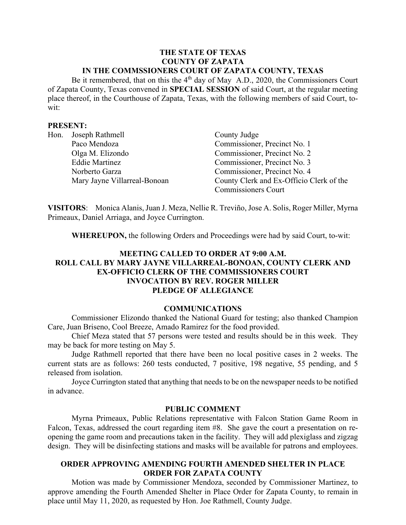### **THE STATE OF TEXAS COUNTY OF ZAPATA IN THE COMMSSIONERS COURT OF ZAPATA COUNTY, TEXAS**

Be it remembered, that on this the  $4<sup>th</sup>$  day of May A.D., 2020, the Commissioners Court of Zapata County, Texas convened in **SPECIAL SESSION** of said Court, at the regular meeting place thereof, in the Courthouse of Zapata, Texas, with the following members of said Court, towit:

### **PRESENT:**

| Hon. | Joseph Rathmell              | County Judge                             |
|------|------------------------------|------------------------------------------|
|      | Paco Mendoza                 | Commissioner, Precinct No. 1             |
|      | Olga M. Elizondo             | Commissioner, Precinct No. 2             |
|      | <b>Eddie Martinez</b>        | Commissioner, Precinct No. 3             |
|      | Norberto Garza               | Commissioner, Precinct No. 4             |
|      | Mary Jayne Villarreal-Bonoan | County Clerk and Ex-Officio Clerk of the |
|      |                              | <b>Commissioners Court</b>               |

**VISITORS**: Monica Alanis, Juan J. Meza, Nellie R. Treviño, Jose A. Solis, Roger Miller, Myrna Primeaux, Daniel Arriaga, and Joyce Currington.

**WHEREUPON,** the following Orders and Proceedings were had by said Court, to-wit:

# **MEETING CALLED TO ORDER AT 9:00 A.M. ROLL CALL BY MARY JAYNE VILLARREAL-BONOAN, COUNTY CLERK AND EX-OFFICIO CLERK OF THE COMMISSIONERS COURT INVOCATION BY REV. ROGER MILLER PLEDGE OF ALLEGIANCE**

#### **COMMUNICATIONS**

Commissioner Elizondo thanked the National Guard for testing; also thanked Champion Care, Juan Briseno, Cool Breeze, Amado Ramirez for the food provided.

Chief Meza stated that 57 persons were tested and results should be in this week. They may be back for more testing on May 5.

Judge Rathmell reported that there have been no local positive cases in 2 weeks. The current stats are as follows: 260 tests conducted, 7 positive, 198 negative, 55 pending, and 5 released from isolation.

Joyce Currington stated that anything that needs to be on the newspaper needs to be notified in advance.

#### **PUBLIC COMMENT**

Myrna Primeaux, Public Relations representative with Falcon Station Game Room in Falcon, Texas, addressed the court regarding item #8. She gave the court a presentation on reopening the game room and precautions taken in the facility. They will add plexiglass and zigzag design. They will be disinfecting stations and masks will be available for patrons and employees.

### **ORDER APPROVING AMENDING FOURTH AMENDED SHELTER IN PLACE ORDER FOR ZAPATA COUNTY**

Motion was made by Commissioner Mendoza, seconded by Commissioner Martinez, to approve amending the Fourth Amended Shelter in Place Order for Zapata County, to remain in place until May 11, 2020, as requested by Hon. Joe Rathmell, County Judge.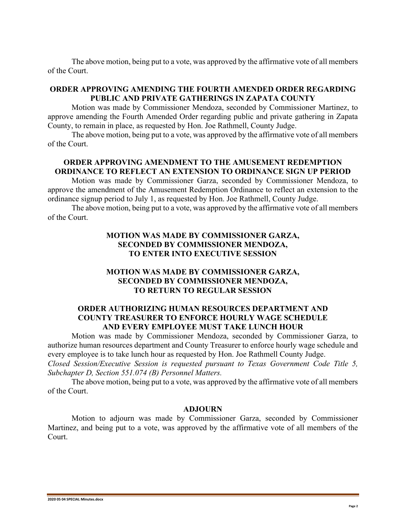The above motion, being put to a vote, was approved by the affirmative vote of all members of the Court.

## **ORDER APPROVING AMENDING THE FOURTH AMENDED ORDER REGARDING PUBLIC AND PRIVATE GATHERINGS IN ZAPATA COUNTY**

Motion was made by Commissioner Mendoza, seconded by Commissioner Martinez, to approve amending the Fourth Amended Order regarding public and private gathering in Zapata County, to remain in place, as requested by Hon. Joe Rathmell, County Judge.

The above motion, being put to a vote, was approved by the affirmative vote of all members of the Court.

# **ORDER APPROVING AMENDMENT TO THE AMUSEMENT REDEMPTION ORDINANCE TO REFLECT AN EXTENSION TO ORDINANCE SIGN UP PERIOD**

Motion was made by Commissioner Garza, seconded by Commissioner Mendoza, to approve the amendment of the Amusement Redemption Ordinance to reflect an extension to the ordinance signup period to July 1, as requested by Hon. Joe Rathmell, County Judge.

The above motion, being put to a vote, was approved by the affirmative vote of all members of the Court.

# **MOTION WAS MADE BY COMMISSIONER GARZA, SECONDED BY COMMISSIONER MENDOZA, TO ENTER INTO EXECUTIVE SESSION**

# **MOTION WAS MADE BY COMMISSIONER GARZA, SECONDED BY COMMISSIONER MENDOZA, TO RETURN TO REGULAR SESSION**

### **ORDER AUTHORIZING HUMAN RESOURCES DEPARTMENT AND COUNTY TREASURER TO ENFORCE HOURLY WAGE SCHEDULE AND EVERY EMPLOYEE MUST TAKE LUNCH HOUR**

Motion was made by Commissioner Mendoza, seconded by Commissioner Garza, to authorize human resources department and County Treasurer to enforce hourly wage schedule and every employee is to take lunch hour as requested by Hon. Joe Rathmell County Judge. *Closed Session/Executive Session is requested pursuant to Texas Government Code Title 5, Subchapter D, Section 551.074 (B) Personnel Matters.*

The above motion, being put to a vote, was approved by the affirmative vote of all members of the Court.

## **ADJOURN**

Motion to adjourn was made by Commissioner Garza, seconded by Commissioner Martinez, and being put to a vote, was approved by the affirmative vote of all members of the Court.